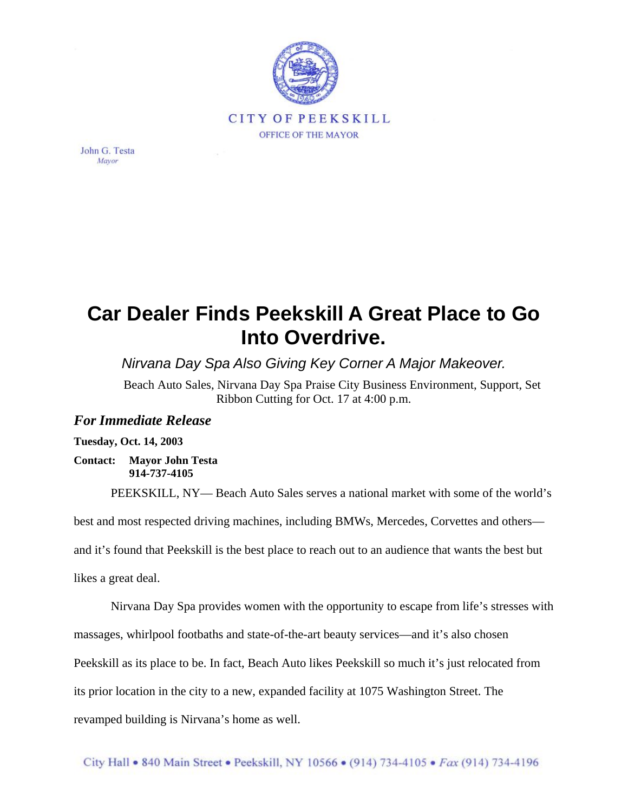

John G. Testa Mayor

## **Car Dealer Finds Peekskill A Great Place to Go Into Overdrive.**

*Nirvana Day Spa Also Giving Key Corner A Major Makeover.*

Beach Auto Sales, Nirvana Day Spa Praise City Business Environment, Support, Set Ribbon Cutting for Oct. 17 at 4:00 p.m.

## *For Immediate Release*

## **Tuesday, Oct. 14, 2003**

**Contact: Mayor John Testa 914-737-4105** 

PEEKSKILL, NY— Beach Auto Sales serves a national market with some of the world's

best and most respected driving machines, including BMWs, Mercedes, Corvettes and others—

and it's found that Peekskill is the best place to reach out to an audience that wants the best but

likes a great deal.

Nirvana Day Spa provides women with the opportunity to escape from life's stresses with

massages, whirlpool footbaths and state-of-the-art beauty services—and it's also chosen

Peekskill as its place to be. In fact, Beach Auto likes Peekskill so much it's just relocated from

its prior location in the city to a new, expanded facility at 1075 Washington Street. The

revamped building is Nirvana's home as well.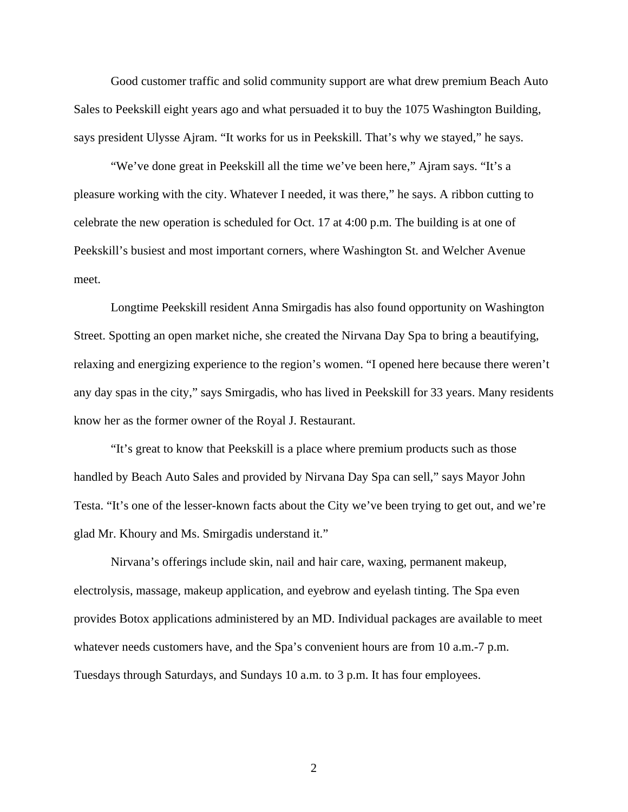Good customer traffic and solid community support are what drew premium Beach Auto Sales to Peekskill eight years ago and what persuaded it to buy the 1075 Washington Building, says president Ulysse Ajram. "It works for us in Peekskill. That's why we stayed," he says.

"We've done great in Peekskill all the time we've been here," Ajram says. "It's a pleasure working with the city. Whatever I needed, it was there," he says. A ribbon cutting to celebrate the new operation is scheduled for Oct. 17 at 4:00 p.m. The building is at one of Peekskill's busiest and most important corners, where Washington St. and Welcher Avenue meet.

Longtime Peekskill resident Anna Smirgadis has also found opportunity on Washington Street. Spotting an open market niche, she created the Nirvana Day Spa to bring a beautifying, relaxing and energizing experience to the region's women. "I opened here because there weren't any day spas in the city," says Smirgadis, who has lived in Peekskill for 33 years. Many residents know her as the former owner of the Royal J. Restaurant.

"It's great to know that Peekskill is a place where premium products such as those handled by Beach Auto Sales and provided by Nirvana Day Spa can sell," says Mayor John Testa. "It's one of the lesser-known facts about the City we've been trying to get out, and we're glad Mr. Khoury and Ms. Smirgadis understand it."

Nirvana's offerings include skin, nail and hair care, waxing, permanent makeup, electrolysis, massage, makeup application, and eyebrow and eyelash tinting. The Spa even provides Botox applications administered by an MD. Individual packages are available to meet whatever needs customers have, and the Spa's convenient hours are from 10 a.m.-7 p.m. Tuesdays through Saturdays, and Sundays 10 a.m. to 3 p.m. It has four employees.

2